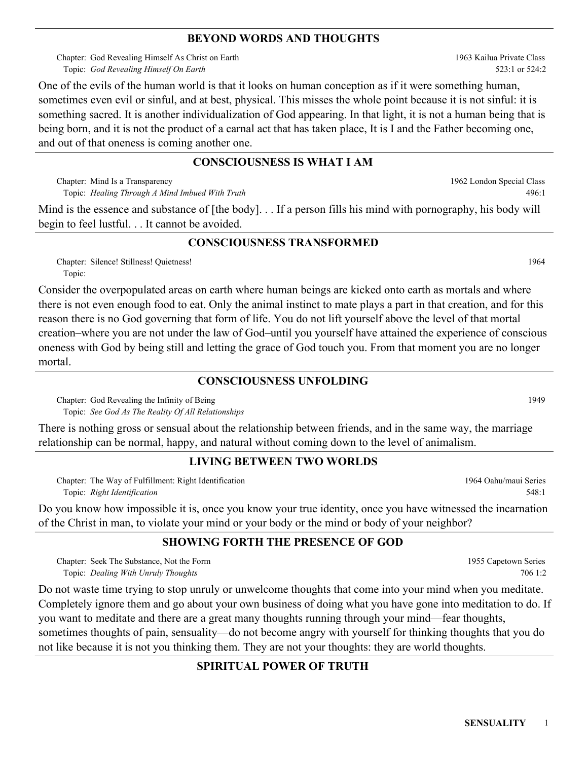#### **BEYOND WORDS AND THOUGHTS**

Chapter: God Revealing Himself As Christ on Earth *God Revealing Himself On Earth* Topic:

One of the evils of the human world is that it looks on human conception as if it were something human, sometimes even evil or sinful, and at best, physical. This misses the whole point because it is not sinful: it is something sacred. It is another individualization of God appearing. In that light, it is not a human being that is being born, and it is not the product of a carnal act that has taken place, It is I and the Father becoming one, and out of that oneness is coming another one.

### **CONSCIOUSNESS IS WHAT I AM**

Chapter: Mind Is a Transparency *Healing Through A Mind Imbued With Truth* Topic:

Mind is the essence and substance of [the body]. . . If a person fills his mind with pornography, his body will begin to feel lustful. . . It cannot be avoided.

### **CONSCIOUSNESS TRANSFORMED**

Chapter: Silence! Stillness! Quietness! 1964 Topic:

Consider the overpopulated areas on earth where human beings are kicked onto earth as mortals and where there is not even enough food to eat. Only the animal instinct to mate plays a part in that creation, and for this reason there is no God governing that form of life. You do not lift yourself above the level of that mortal creation–where you are not under the law of God–until you yourself have attained the experience of conscious oneness with God by being still and letting the grace of God touch you. From that moment you are no longer mortal.

### **CONSCIOUSNESS UNFOLDING**

Chapter: God Revealing the Infinity of Being and the Chapter of Being and the United States of the United States of the United States of the United States of the United States of the United States of the United States of t *See God As The Reality Of All Relationships* Topic:

There is nothing gross or sensual about the relationship between friends, and in the same way, the marriage relationship can be normal, happy, and natural without coming down to the level of animalism.

## **LIVING BETWEEN TWO WORLDS**

Chapter: The Way of Fulfillment: Right Identification *Right Identification* Topic:

Do you know how impossible it is, once you know your true identity, once you have witnessed the incarnation of the Christ in man, to violate your mind or your body or the mind or body of your neighbor?

## **SHOWING FORTH THE PRESENCE OF GOD**

Chapter: Seek The Substance, Not the Form *Dealing With Unruly Thoughts* Topic:

Do not waste time trying to stop unruly or unwelcome thoughts that come into your mind when you meditate. Completely ignore them and go about your own business of doing what you have gone into meditation to do. If you want to meditate and there are a great many thoughts running through your mind—fear thoughts, sometimes thoughts of pain, sensuality—do not become angry with yourself for thinking thoughts that you do not like because it is not you thinking them. They are not your thoughts: they are world thoughts.

# **SPIRITUAL POWER OF TRUTH**

1963 Kailua Private Class 523:1 or 524:2

1964 Oahu/maui Series

1955 Capetown Series

548:1

706 1:2

1962 London Special Class

496:1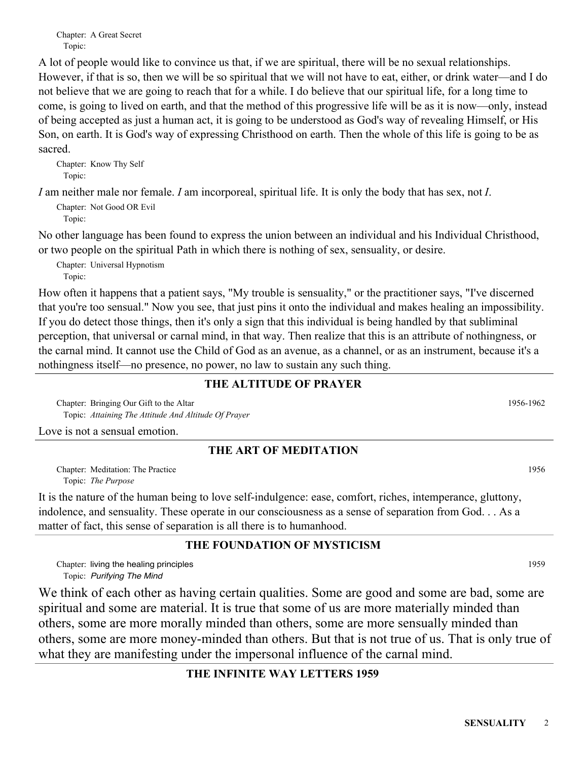Chapter: A Great Secret Topic:

A lot of people would like to convince us that, if we are spiritual, there will be no sexual relationships. However, if that is so, then we will be so spiritual that we will not have to eat, either, or drink water—and I do not believe that we are going to reach that for a while. I do believe that our spiritual life, for a long time to come, is going to lived on earth, and that the method of this progressive life will be as it is now—only, instead of being accepted as just a human act, it is going to be understood as God's way of revealing Himself, or His Son, on earth. It is God's way of expressing Christhood on earth. Then the whole of this life is going to be as sacred.

Chapter: Know Thy Self Topic:

*I* am neither male nor female. *I* am incorporeal, spiritual life. It is only the body that has sex, not *I*.

Chapter: Not Good OR Evil Topic:

No other language has been found to express the union between an individual and his Individual Christhood, or two people on the spiritual Path in which there is nothing of sex, sensuality, or desire.

Chapter: Universal Hypnotism Topic:

How often it happens that a patient says, "My trouble is sensuality," or the practitioner says, "I've discerned that you're too sensual." Now you see, that just pins it onto the individual and makes healing an impossibility. If you do detect those things, then it's only a sign that this individual is being handled by that subliminal perception, that universal or carnal mind, in that way. Then realize that this is an attribute of nothingness, or the carnal mind. It cannot use the Child of God as an avenue, as a channel, or as an instrument, because it's a nothingness itself—no presence, no power, no law to sustain any such thing.

#### **THE ALTITUDE OF PRAYER**

Chapter: Bringing Our Gift to the Altar 1956-1962 *Attaining The Attitude And Altitude Of Prayer* Topic:

Love is not a sensual emotion.

### **THE ART OF MEDITATION**

Chapter: Meditation: The Practice 1956 *The Purpose* Topic:

It is the nature of the human being to love self-indulgence: ease, comfort, riches, intemperance, gluttony, indolence, and sensuality. These operate in our consciousness as a sense of separation from God. . . As a matter of fact, this sense of separation is all there is to humanhood.

#### **THE FOUNDATION OF MYSTICISM**

Chapter: living the healing principles and the set of the set of the set of the set of the set of the set of the set of the set of the set of the set of the set of the set of the set of the set of the set of the set of the *Purifying The Mind* Topic:

We think of each other as having certain qualities. Some are good and some are bad, some are spiritual and some are material. It is true that some of us are more materially minded than others, some are more morally minded than others, some are more sensually minded than others, some are more money-minded than others. But that is not true of us. That is only true of what they are manifesting under the impersonal influence of the carnal mind.

## **THE INFINITE WAY LETTERS 1959**